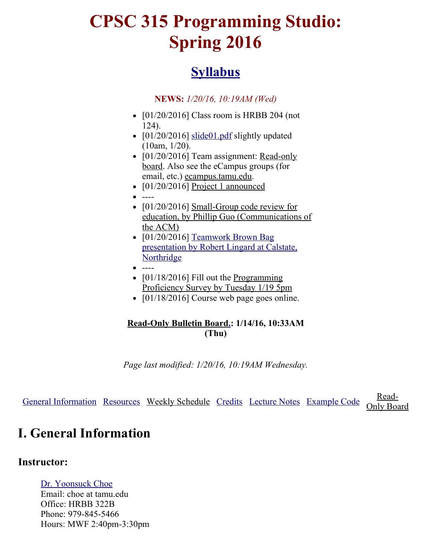# **CPSC 315 Programming Studio: Spring 2016**

## **[Syllabus](http://courses.cs.tamu.edu/choe/16spring/315/315.pdf)**

#### **NEWS:** *1/20/16, 10:19AM (Wed)*

- $\bullet$  [01/20/2016] Class room is HRBB 204 (not 124).
- $[01/20/2016]$  [slide01.pdf](http://courses.cs.tamu.edu/choe/16spring/315/lectures/slide01.pdf) slightly updated (10am, 1/20).
- $\bullet$  [\[01/20/2016\]](http://courses.cs.tamu.edu/choe/16spring/315/board.html#2) Team assignment: Read-only board. Also see the eCampus groups (for email, etc.) [ecampus.tamu.edu.](http://ecampus.tamu.edu/)
- $\bullet$  [01/20/2016] Project 1 [announced](http://courses.cs.tamu.edu/choe/16spring/315/proj1.html)
- $\bullet$  ----
- $\bullet$  [01/20/2016] Small-Group code review for education, by Phillip Guo [\(Communications](http://cacm.acm.org/blogs/blog-cacm/175944-small-group-code-reviews-for-education/fulltext) of the ACM)
- $\bullet$  [\[01/20/2016\]](http://www.ecs.csun.edu/~rlingard/Publications/TeamworkBrownBag.ppt) Teamwork Brown Bag presentation by Robert Lingard at Calstate, **Northridge**
- $\bullet$  ----
- $[01/18/2016]$  Fill out the [Programming](https://docs.google.com/forms/d/1Ci5uch4sH_9zCkSo8q8nRiyTywrD9Hct0GNt51BlKEY/viewform?usp=send_form) Proficiency Survey by Tuesday 1/19 5pm
- $\bullet$  [01/18/2016] Course web page goes online.

#### **Read-Only Bulletin Board[.:](http://courses.cs.tamu.edu/choe/16spring/315/board.php) 1/14/16, 10:33AM (Thu)**

*Page last modified: 1/20/16, 10:19AM Wednesday.*

General Information Resources Weekly Schedule Credits [Lecture](http://courses.cs.tamu.edu/choe/16spring/315/lectures/) Notes [Example](http://courses.cs.tamu.edu/choe/16spring/315/src/) Code Culti Book **Only [Board](http://courses.cs.tamu.edu/choe/16spring/315/board.html)** 

## **I. General Information**

### **Instructor:**

Dr. [Yoonsuck](http://courses.cs.tamu.edu/choe) Choe Email: choe at tamu.edu Office: HRBB 322B Phone: 979-845-5466 Hours: MWF 2:40pm-3:30pm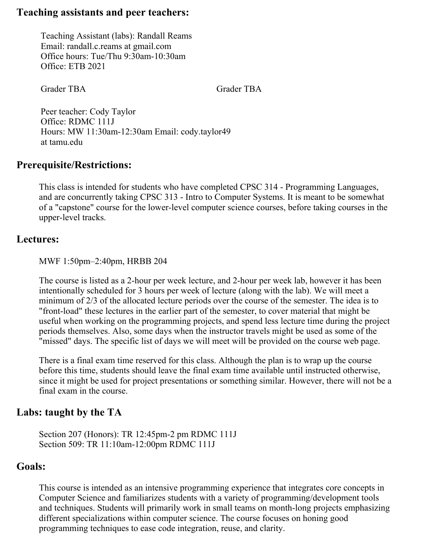#### **Teaching assistants and peer teachers:**

Teaching Assistant (labs): Randall Reams Email: randall.c.reams at gmail.com Office hours: Tue/Thu 9:30am10:30am Office: ETB 2021

Grader TBA Grader TBA

Peer teacher: Cody Taylor Office: RDMC 111J Hours: MW 11:30am-12:30am Email: cody.taylor49 at tamu.edu

#### **Prerequisite/Restrictions:**

This class is intended for students who have completed CPSC 314 - Programming Languages, and are concurrently taking CPSC 313 - Intro to Computer Systems. It is meant to be somewhat of a "capstone" course for the lower-level computer science courses, before taking courses in the upper-level tracks.

#### **Lectures:**

MWF 1:50pm–2:40pm, HRBB 204

The course is listed as a 2-hour per week lecture, and 2-hour per week lab, however it has been intentionally scheduled for 3 hours per week of lecture (along with the lab). We will meet a minimum of 2/3 of the allocated lecture periods over the course of the semester. The idea is to "front-load" these lectures in the earlier part of the semester, to cover material that might be useful when working on the programming projects, and spend less lecture time during the project periods themselves. Also, some days when the instructor travels might be used as some of the "missed" days. The specific list of days we will meet will be provided on the course web page.

There is a final exam time reserved for this class. Although the plan is to wrap up the course before this time, students should leave the final exam time available until instructed otherwise, since it might be used for project presentations or something similar. However, there will not be a final exam in the course.

#### **Labs: taught by the TA**

Section 207 (Honors): TR 12:45pm-2 pm RDMC 111J Section 509: TR 11:10am-12:00pm RDMC 111J

#### **Goals:**

This course is intended as an intensive programming experience that integrates core concepts in Computer Science and familiarizes students with a variety of programming/development tools and techniques. Students will primarily work in small teams on month-long projects emphasizing different specializations within computer science. The course focuses on honing good programming techniques to ease code integration, reuse, and clarity.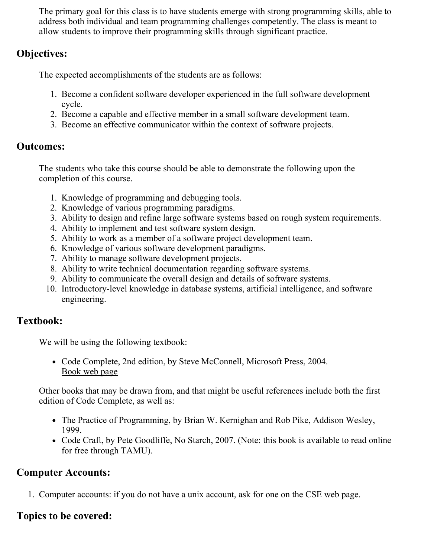The primary goal for this class is to have students emerge with strong programming skills, able to address both individual and team programming challenges competently. The class is meant to allow students to improve their programming skills through significant practice.

## **Objectives:**

The expected accomplishments of the students are as follows:

- 1. Become a confident software developer experienced in the full software development cycle.
- 2. Become a capable and effective member in a small software development team.
- 3. Become an effective communicator within the context of software projects.

## **Outcomes:**

The students who take this course should be able to demonstrate the following upon the completion of this course.

- 1. Knowledge of programming and debugging tools.
- 2. Knowledge of various programming paradigms.
- 3. Ability to design and refine large software systems based on rough system requirements.
- 4. Ability to implement and test software system design.
- 5. Ability to work as a member of a software project development team.
- 6. Knowledge of various software development paradigms.
- 7. Ability to manage software development projects.
- 8. Ability to write technical documentation regarding software systems.
- 9. Ability to communicate the overall design and details of software systems.
- 10. Introductory-level knowledge in database systems, artificial intelligence, and software engineering.

## **Textbook:**

We will be using the following textbook:

• Code Complete, 2nd edition, by Steve McConnell, Microsoft Press, 2004. [Book](http://www.cc2e.com/) web page

Other books that may be drawn from, and that might be useful references include both the first edition of Code Complete, as well as:

- The Practice of Programming, by Brian W. Kernighan and Rob Pike, Addison Wesley, 1999.
- Code Craft, by Pete Goodliffe, No Starch, 2007. (Note: this book is available to read online for free through TAMU).

## **Computer Accounts:**

1. Computer accounts: if you do not have a unix account, ask for one on the CSE web page.

## **Topics to be covered:**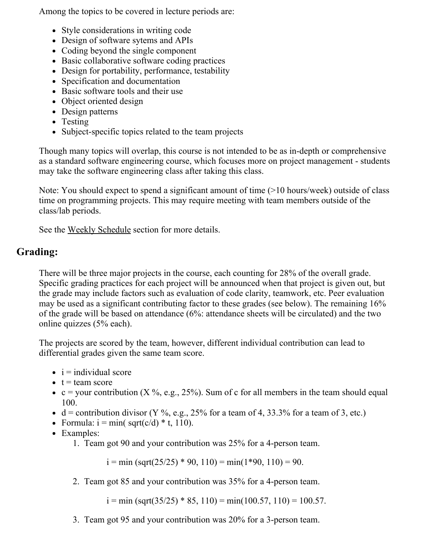Among the topics to be covered in lecture periods are:

- Style considerations in writing code
- Design of software sytems and APIs
- Coding beyond the single component
- Basic collaborative software coding practices
- Design for portability, performance, testability
- Specification and documentation
- Basic software tools and their use
- Object oriented design
- Design patterns
- Testing
- Subject-specific topics related to the team projects

Though many topics will overlap, this course is not intended to be as in-depth or comprehensive as a standard software engineering course, which focuses more on project management - students may take the software engineering class after taking this class.

Note: You should expect to spend a significant amount of time (>10 hours/week) outside of class time on programming projects. This may require meeting with team members outside of the class/lab periods.

See the Weekly Schedule section for more details.

### **Grading:**

There will be three major projects in the course, each counting for 28% of the overall grade. Specific grading practices for each project will be announced when that project is given out, but the grade may include factors such as evaluation of code clarity, teamwork, etc. Peer evaluation may be used as a significant contributing factor to these grades (see below). The remaining 16% of the grade will be based on attendance (6%: attendance sheets will be circulated) and the two online quizzes (5% each).

The projects are scored by the team, however, different individual contribution can lead to differential grades given the same team score.

- $\bullet$  i = individual score
- $\bullet$  t = team score
- $c =$ your contribution (X %, e.g., 25%). Sum of c for all members in the team should equal 100.
- $\bullet$  d = contribution divisor (Y %, e.g., 25% for a team of 4, 33.3% for a team of 3, etc.)
- Formula:  $i = min(sqrt(c/d) * t, 110)$ .
- Examples:
	- 1. Team got 90 and your contribution was 25% for a 4-person team.

 $i = min (sqrt(25/25) * 90, 110) = min(1*90, 110) = 90.$ 

2. Team got 85 and your contribution was 35% for a 4-person team.

 $i = min (sqrt(35/25) * 85, 110) = min(100.57, 110) = 100.57.$ 

3. Team got 95 and your contribution was 20% for a 3-person team.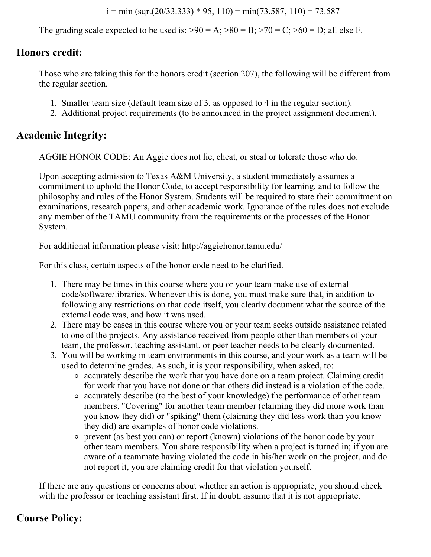$i = min (sqrt(20/33.333) * 95, 110) = min(73.587, 110) = 73.587$ 

The grading scale expected to be used is:  $>90 = A$ ;  $>80 = B$ ;  $>70 = C$ ;  $>60 = D$ ; all else F.

#### **Honors credit:**

Those who are taking this for the honors credit (section 207), the following will be different from the regular section.

- 1. Smaller team size (default team size of 3, as opposed to 4 in the regular section).
- 2. Additional project requirements (to be announced in the project assignment document).

#### **Academic Integrity:**

AGGIE HONOR CODE: An Aggie does not lie, cheat, or steal or tolerate those who do.

Upon accepting admission to Texas A&M University, a student immediately assumes a commitment to uphold the Honor Code, to accept responsibility for learning, and to follow the philosophy and rules of the Honor System. Students will be required to state their commitment on examinations, research papers, and other academic work. Ignorance of the rules does not exclude any member of the TAMU community from the requirements or the processes of the Honor System.

For additional information please visit: <http://aggiehonor.tamu.edu/>

For this class, certain aspects of the honor code need to be clarified.

- 1. There may be times in this course where you or your team make use of external code/software/libraries. Whenever this is done, you must make sure that, in addition to following any restrictions on that code itself, you clearly document what the source of the external code was, and how it was used.
- 2. There may be cases in this course where you or your team seeks outside assistance related to one of the projects. Any assistance received from people other than members of your team, the professor, teaching assistant, or peer teacher needs to be clearly documented.
- 3. You will be working in team environments in this course, and your work as a team will be used to determine grades. As such, it is your responsibility, when asked, to:
	- accurately describe the work that you have done on a team project. Claiming credit for work that you have not done or that others did instead is a violation of the code.
	- accurately describe (to the best of your knowledge) the performance of other team members. "Covering" for another team member (claiming they did more work than you know they did) or "spiking" them (claiming they did less work than you know they did) are examples of honor code violations.
	- prevent (as best you can) or report (known) violations of the honor code by your other team members. You share responsibility when a project is turned in; if you are aware of a teammate having violated the code in his/her work on the project, and do not report it, you are claiming credit for that violation yourself.

If there are any questions or concerns about whether an action is appropriate, you should check with the professor or teaching assistant first. If in doubt, assume that it is not appropriate.

## **Course Policy:**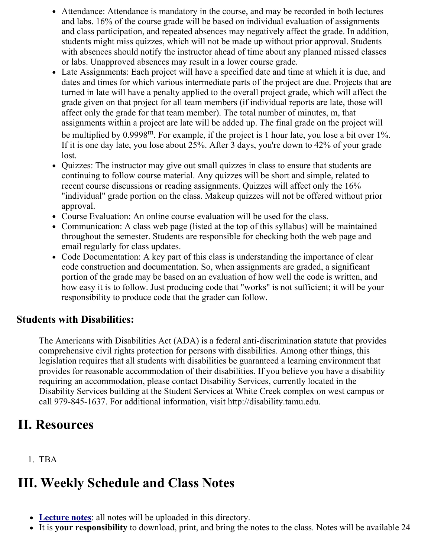- Attendance: Attendance is mandatory in the course, and may be recorded in both lectures and labs. 16% of the course grade will be based on individual evaluation of assignments and class participation, and repeated absences may negatively affect the grade. In addition, students might miss quizzes, which will not be made up without prior approval. Students with absences should notify the instructor ahead of time about any planned missed classes or labs. Unapproved absences may result in a lower course grade.
- Late Assignments: Each project will have a specified date and time at which it is due, and dates and times for which various intermediate parts of the project are due. Projects that are turned in late will have a penalty applied to the overall project grade, which will affect the grade given on that project for all team members (if individual reports are late, those will affect only the grade for that team member). The total number of minutes, m, that assignments within a project are late will be added up. The final grade on the project will be multiplied by 0.9998<sup>m</sup>. For example, if the project is 1 hour late, you lose a bit over 1%. If it is one day late, you lose about 25%. After 3 days, you're down to 42% of your grade lost.
- Quizzes: The instructor may give out small quizzes in class to ensure that students are continuing to follow course material. Any quizzes will be short and simple, related to recent course discussions or reading assignments. Quizzes will affect only the 16% "individual" grade portion on the class. Makeup quizzes will not be offered without prior approval.
- Course Evaluation: An online course evaluation will be used for the class.
- Communication: A class web page (listed at the top of this syllabus) will be maintained throughout the semester. Students are responsible for checking both the web page and email regularly for class updates.
- Code Documentation: A key part of this class is understanding the importance of clear code construction and documentation. So, when assignments are graded, a significant portion of the grade may be based on an evaluation of how well the code is written, and how easy it is to follow. Just producing code that "works" is not sufficient; it will be your responsibility to produce code that the grader can follow.

### **Students with Disabilities:**

The Americans with Disabilities Act (ADA) is a federal anti-discrimination statute that provides comprehensive civil rights protection for persons with disabilities. Among other things, this legislation requires that all students with disabilities be guaranteed a learning environment that provides for reasonable accommodation of their disabilities. If you believe you have a disability requiring an accommodation, please contact Disability Services, currently located in the Disability Services building at the Student Services at White Creek complex on west campus or call 979-845-1637. For additional information, visit http://disability.tamu.edu.

## **II. Resources**

1. TBA

## **III. Weekly Schedule and Class Notes**

- **[Lecture](http://courses.cs.tamu.edu/choe/16spring/315/lectures/) notes**: all notes will be uploaded in this directory.
- It is **your responsibility** to download, print, and bring the notes to the class. Notes will be available 24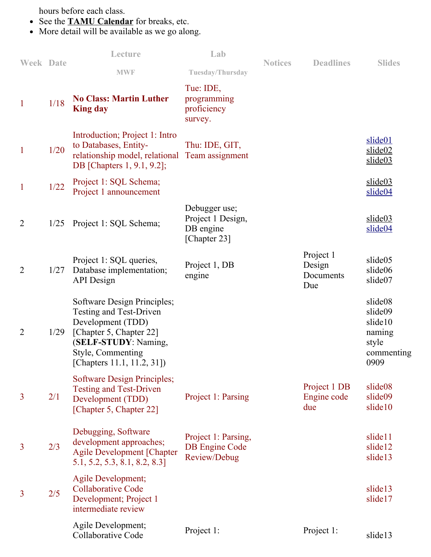hours before each class.

See the **TAMU [Calendar](http://registrar.tamu.edu/general/calendar.aspx)** for breaks, etc.

More detail will be available as we go along.

| <b>Week Date</b> |      | Lecture                                                                                                                                                                                  | Lab                                                             | <b>Notices</b> | <b>Deadlines</b>                        | <b>Slides</b>                                                          |
|------------------|------|------------------------------------------------------------------------------------------------------------------------------------------------------------------------------------------|-----------------------------------------------------------------|----------------|-----------------------------------------|------------------------------------------------------------------------|
|                  |      | <b>MWF</b>                                                                                                                                                                               | Tuesday/Thursday                                                |                |                                         |                                                                        |
| 1                | 1/18 | <b>No Class: Martin Luther</b><br><b>King day</b>                                                                                                                                        | Tue: IDE,<br>programming<br>proficiency<br>survey.              |                |                                         |                                                                        |
| $\mathbf{1}$     | 1/20 | Introduction; Project 1: Intro<br>to Databases, Entity-<br>relationship model, relational<br>DB [Chapters 1, 9.1, 9.2];                                                                  | Thu: IDE, GIT,<br>Team assignment                               |                |                                         | slide01<br>silide02<br>slide <sub>03</sub>                             |
| 1                | 1/22 | Project 1: SQL Schema;<br>Project 1 announcement                                                                                                                                         |                                                                 |                |                                         | silide03<br>slide04                                                    |
| $\overline{2}$   | 1/25 | Project 1: SQL Schema;                                                                                                                                                                   | Debugger use;<br>Project 1 Design,<br>DB engine<br>[Chapter 23] |                |                                         | silide03<br>slide04                                                    |
| $\overline{2}$   | 1/27 | Project 1: SQL queries,<br>Database implementation;<br>API Design                                                                                                                        | Project 1, DB<br>engine                                         |                | Project 1<br>Design<br>Documents<br>Due | slide05<br>slide06<br>slide07                                          |
| $\overline{2}$   | 1/29 | Software Design Principles;<br><b>Testing and Test-Driven</b><br>Development (TDD)<br>[Chapter 5, Chapter 22]<br>(SELF-STUDY: Naming,<br>Style, Commenting<br>[Chapters 11.1, 11.2, 31]) |                                                                 |                |                                         | slide08<br>slide09<br>slide10<br>naming<br>style<br>commenting<br>0909 |
| $\overline{3}$   | 2/1  | <b>Software Design Principles;</b><br><b>Testing and Test-Driven</b><br>Development (TDD)<br>[Chapter 5, Chapter 22]                                                                     | Project 1: Parsing                                              |                | Project 1 DB<br>Engine code<br>due      | slide08<br>slide09<br>slide10                                          |
| $\overline{3}$   | 2/3  | Debugging, Software<br>development approaches;<br><b>Agile Development [Chapter</b><br>5.1, 5.2, 5.3, 8.1, 8.2, 8.3]                                                                     | Project 1: Parsing,<br><b>DB</b> Engine Code<br>Review/Debug    |                |                                         | slide11<br>slide12<br>slide13                                          |
| $\overline{3}$   | 2/5  | Agile Development;<br><b>Collaborative Code</b><br>Development; Project 1<br>intermediate review                                                                                         |                                                                 |                |                                         | slide13<br>slide17                                                     |
|                  |      | Agile Development;<br>Collaborative Code                                                                                                                                                 | Project 1:                                                      |                | Project 1:                              | slide13                                                                |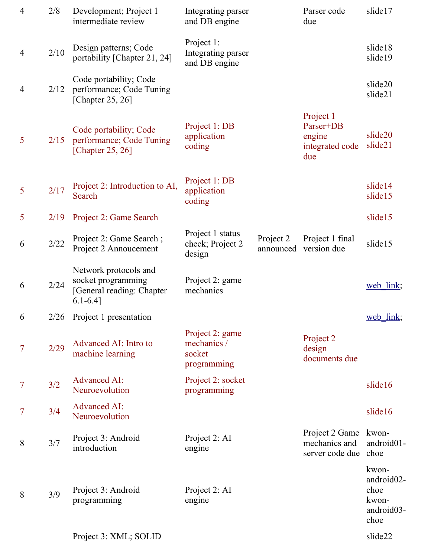| $\overline{4}$ | 2/8  | Development; Project 1<br>intermediate review                                             | Integrating parser<br>and DB engine                     |                        | Parser code<br>due                                         | slide17                                                    |
|----------------|------|-------------------------------------------------------------------------------------------|---------------------------------------------------------|------------------------|------------------------------------------------------------|------------------------------------------------------------|
| 4              | 2/10 | Design patterns; Code<br>portability [Chapter 21, 24]                                     | Project 1:<br>Integrating parser<br>and DB engine       |                        |                                                            | slide18<br>slide19                                         |
| 4              | 2/12 | Code portability; Code<br>performance; Code Tuning<br>[Chapter $25, 26$ ]                 |                                                         |                        |                                                            | slide20<br>slide21                                         |
| 5              | 2/15 | Code portability; Code<br>performance; Code Tuning<br>[Chapter 25, 26]                    | Project 1: DB<br>application<br>coding                  |                        | Project 1<br>Parser+DB<br>engine<br>integrated code<br>due | slide20<br>slide21                                         |
| 5              | 2/17 | Project 2: Introduction to AI,<br>Search                                                  | Project 1: DB<br>application<br>coding                  |                        |                                                            | slide14<br>slide15                                         |
| 5              | 2/19 | Project 2: Game Search                                                                    |                                                         |                        |                                                            | slide15                                                    |
| 6              | 2/22 | Project 2: Game Search;<br>Project 2 Annoucement                                          | Project 1 status<br>check; Project 2<br>design          | Project 2<br>announced | Project 1 final<br>version due                             | slide15                                                    |
| 6              | 2/24 | Network protocols and<br>socket programming<br>[General reading: Chapter<br>$6.1 - 6.4$ ] | Project 2: game<br>mechanics                            |                        |                                                            | web link;                                                  |
| 6              | 2/26 | Project 1 presentation                                                                    |                                                         |                        |                                                            | web link:                                                  |
| 7              | 2/29 | Advanced AI: Intro to<br>machine learning                                                 | Project 2: game<br>mechanics /<br>socket<br>programming |                        | Project 2<br>design<br>documents due                       |                                                            |
| 7              | 3/2  | <b>Advanced AI:</b><br>Neuroevolution                                                     | Project 2: socket<br>programming                        |                        |                                                            | slide16                                                    |
| 7              | 3/4  | <b>Advanced AI:</b><br>Neuroevolution                                                     |                                                         |                        |                                                            | slide16                                                    |
| 8              | 3/7  | Project 3: Android<br>introduction                                                        | Project 2: AI<br>engine                                 |                        | Project 2 Game<br>mechanics and<br>server code due         | kwon-<br>android01-<br>choe                                |
| 8              | 3/9  | Project 3: Android<br>programming                                                         | Project 2: AI<br>engine                                 |                        |                                                            | kwon-<br>android02-<br>choe<br>kwon-<br>android03-<br>choe |
|                |      | Project 3: XML; SOLID                                                                     |                                                         |                        |                                                            | slide22                                                    |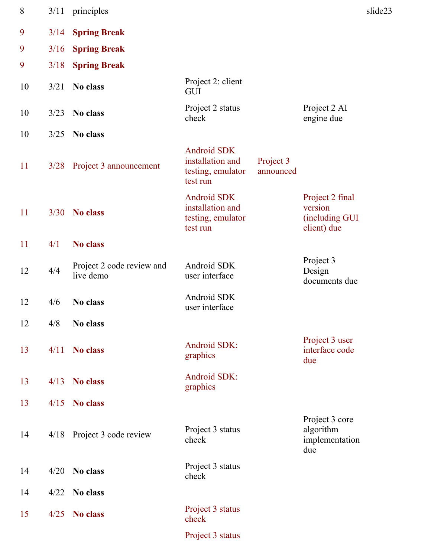| 8  | 3/11 | principles                             |                                                                         |                        |                                                             | slide23 |
|----|------|----------------------------------------|-------------------------------------------------------------------------|------------------------|-------------------------------------------------------------|---------|
| 9  | 3/14 | <b>Spring Break</b>                    |                                                                         |                        |                                                             |         |
| 9  | 3/16 | <b>Spring Break</b>                    |                                                                         |                        |                                                             |         |
| 9  | 3/18 | <b>Spring Break</b>                    |                                                                         |                        |                                                             |         |
| 10 | 3/21 | No class                               | Project 2: client<br>GUI                                                |                        |                                                             |         |
| 10 | 3/23 | No class                               | Project 2 status<br>check                                               |                        | Project 2 AI<br>engine due                                  |         |
| 10 | 3/25 | No class                               |                                                                         |                        |                                                             |         |
| 11 | 3/28 | Project 3 announcement                 | <b>Android SDK</b><br>installation and<br>testing, emulator<br>test run | Project 3<br>announced |                                                             |         |
| 11 | 3/30 | <b>No class</b>                        | <b>Android SDK</b><br>installation and<br>testing, emulator<br>test run |                        | Project 2 final<br>version<br>(including GUI<br>client) due |         |
| 11 | 4/1  | <b>No class</b>                        |                                                                         |                        |                                                             |         |
| 12 | 4/4  | Project 2 code review and<br>live demo | Android SDK<br>user interface                                           |                        | Project 3<br>Design<br>documents due                        |         |
| 12 | 4/6  | No class                               | Android SDK<br>user interface                                           |                        |                                                             |         |
| 12 | 4/8  | No class                               |                                                                         |                        |                                                             |         |
| 13 | 4/11 | <b>No class</b>                        | Android SDK:<br>graphics                                                |                        | Project 3 user<br>interface code<br>due                     |         |
| 13 | 4/13 | <b>No class</b>                        | Android SDK:<br>graphics                                                |                        |                                                             |         |
| 13 | 4/15 | <b>No class</b>                        |                                                                         |                        |                                                             |         |
| 14 | 4/18 | Project 3 code review                  | Project 3 status<br>check                                               |                        | Project 3 core<br>algorithm<br>implementation<br>due        |         |
| 14 | 4/20 | No class                               | Project 3 status<br>check                                               |                        |                                                             |         |
| 14 | 4/22 | No class                               |                                                                         |                        |                                                             |         |
| 15 | 4/25 | <b>No class</b>                        | Project 3 status<br>check                                               |                        |                                                             |         |
|    |      |                                        | Project 3 status                                                        |                        |                                                             |         |